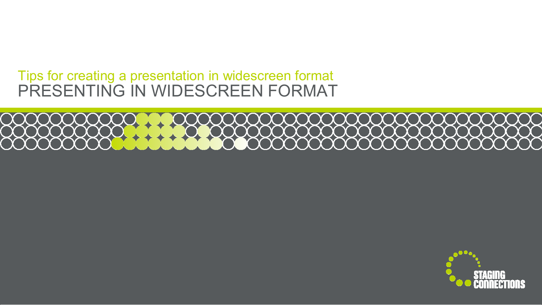#### PRESENTING IN WIDESCREEN FORMATTips for creating a presentation in widescreen format

# 

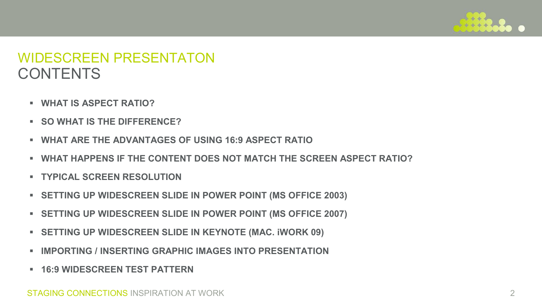

## CONTENTSWIDESCREEN PRESENTATON

- **WHAT IS ASPECT RATIO?**
- **SO WHAT IS THE DIFFERENCE?**
- ∎ **WHAT ARE THE ADVANTAGES OF USING 16:9 ASPECT RATIO**
- **WHAT HAPPENS IF THE CONTENT DOES NOT MATCH THE SCREEN ASPECT RATIO?**
- **TYPICAL SCREEN RESOLUTION**
- **SETTING UP WIDESCREEN SLIDE IN POWER POINT (MS OFFICE 2003)**
- **SETTING UP WIDESCREEN SLIDE IN POWER POINT (MS OFFICE 2007)**
- **SETTING UP WIDESCREEN SLIDE IN KEYNOTE (MAC. iWORK 09)**
- ∎ **IMPORTING / INSERTING GRAPHIC IMAGES INTO PRESENTATION**
- **16:9 WIDESCREEN TEST PATTERN**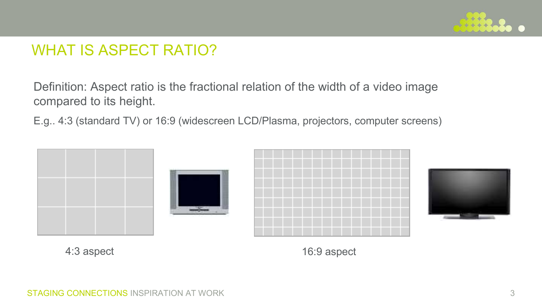

### WHAT IS ASPECT RATIO?

Definition: Aspect ratio is the fractional relation of the width of a video image compared to its height.

E.g.. 4:3 (standard TV) or 16:9 (widescreen LCD/Plasma, projectors, computer screens)



4:3 aspect

16:9 aspect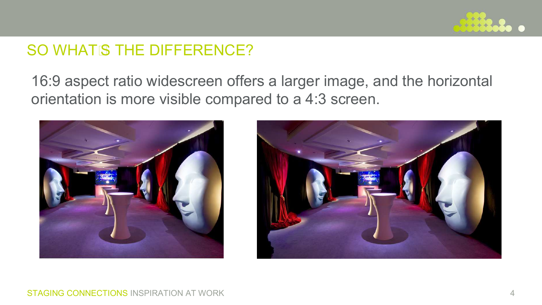

## SO WHAT S THE DIFFERENCE?

16:9 aspect ratio widescreen offers a larger image, and the horizontal orientation is more visible compared to a 4:3 screen.



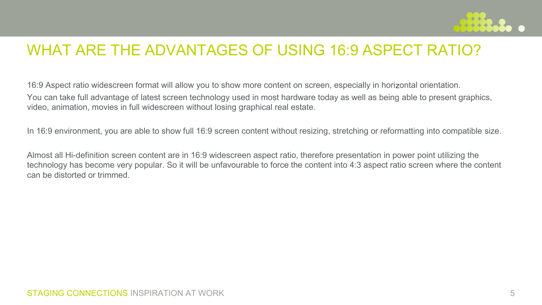

#### WHAT ARE THE ADVANTAGES OF USING 16:9 ASPECT RATIO?

16:9 Aspect ratio widescreen format will allow you to show more content on screen, especially in horizontal orientation. You can take full advantage of latest screen technology used in most hardware today as well as being able to present graphics, video, animation, movies in full widescreen without losing graphical real estate.

In 16:9 environment, you are able to show full 16:9 screen content without resizing, stretching or reformatting into compatible size.

Almost all Hi-definition screen content are in 16:9 widescreen aspect ratio, therefore presentation in power point utilizing the technology has become very popular. So it will be unfavourable to force the content into 4:3 aspect ratio screen where the content can be distorted or trimmed.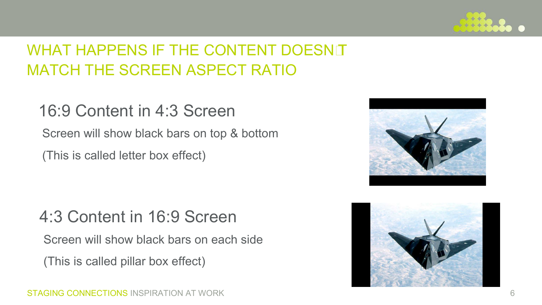

# WHAT HAPPENS IF THE CONTENT DOESNT MATCH THE SCREEN ASPECT RATIO

# 16:9 Content in 4:3 Screen

Screen will show black bars on top & bottom

(This is called letter box effect)

# 4:3 Content in 16:9 Screen

Screen will show black bars on each side

(This is called pillar box effect)



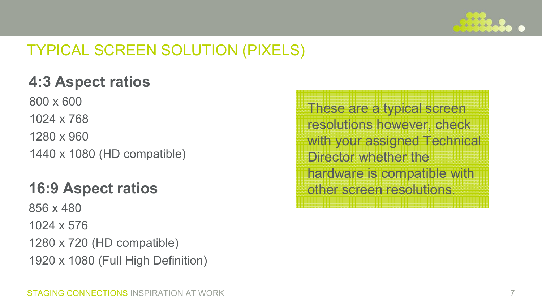

# TYPICAL SCREEN SOLUTION (PIXELS)

# **4:3 Aspect ratios**

800 x 6001024 x 7681280 x 960

1440 x 1080 (HD compatible)

# **16:9 Aspect ratios**

856 x 480

1024 x 576

1280 x 720 (HD compatible)

1920 x 1080 (Full High Definition)

These are a typical screen resolutions however, check with your assigned Technical Director whether the hardware is compatible with other screen resolutions.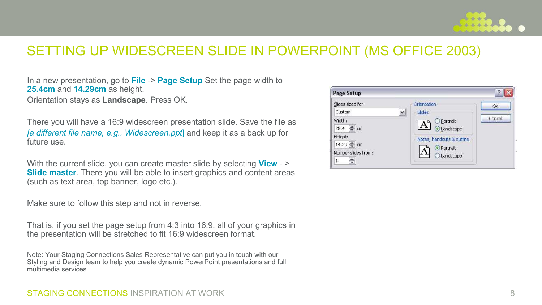

#### SETTING UP WIDESCREEN SLIDE IN POWERPOINT (MS OFFICE 2003)

In a new presentation, go to **File** -> **Page Setup** Set the page width to **25.4cm** and **14.29cm** as height. Orientation stays as **Landscape**. Press OK.

There you will have a 16:9 widescreen presentation slide. Save the file as *[a different file name, e.g.. Widescreen.ppt*] and keep it as a back up for future use.

With the current slide, you can create master slide by selecting **View** - > **Slide master.** There you will be able to insert graphics and content area **Slide master**. There you will be able to insert graphics and content areas (such as text area, top banner, logo etc.).

Make sure to follow this step and not in reverse.

That is, if you set the page setup from 4:3 into 16:9, all of your graphics in the presentation will be stretched to fit 16:9 widescreen format.

Note: Your Staging Connections Sales Representative can put you in touch with our Styling and Design team to help you create dynamic PowerPoint presentations and full multimedia services.



#### STAGING CONNECTIONS INSPIRATION AT WORK 8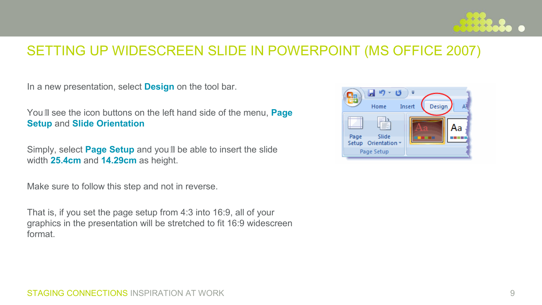

#### SETTING UP WIDESCREEN SLIDE IN POWERPOINT (MS OFFICE 2007)

In a new presentation, select **Design** on the tool bar.

Youll see the icon buttons on the left hand side of the menu, **Page Setup** and **Slide Orientation**

Simply, select **Page Setup** and youll be able to insert the slide width **25.4cm** and **14.29cm** as height.

Make sure to follow this step and not in reverse.

That is, if you set the page setup from 4:3 into 16:9, all of your graphics in the presentation will be stretched to fit 16:9 widescreen format.

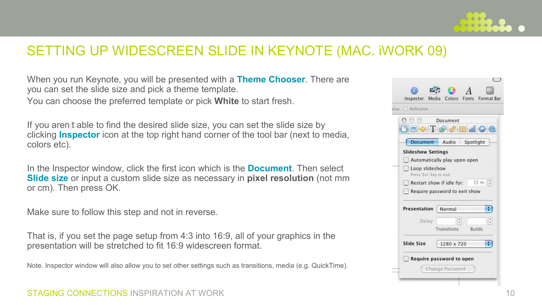

#### SETTING UP WIDESCREEN SLIDE IN KEYNOTE (MAC. iWORK 09)

When you run Keynote, you will be presented with a **Theme Chooser**. There are you can set the slide size and pick a theme template.You can choose the preferred template or pick **White** to start fresh.

If you arent able to find the desired slide size, you can set the slide size by clicking **Inspector** icon at the top right hand corner of the tool bar (next to media, colors etc).

In the Inspector window, click the first icon which is the **Document**. Then select **Slide size** or input a custom slide size as necessary in **pixel resolution** (not mm or cm). Then press OK.

Make sure to follow this step and not in reverse.

That is, if you set the page setup from 4:3 into 16:9, all of your graphics in the presentation will be stretched to fit 16:9 widescreen format.

Note. Inspector window will also allow you to set other settings such as transitions, media (e.g. QuickTime).

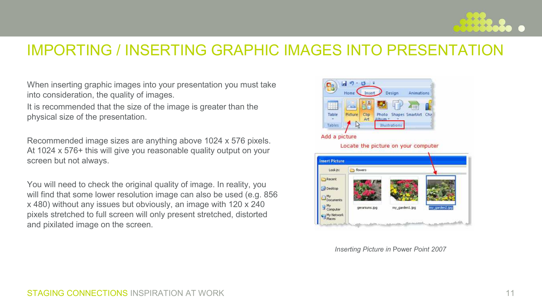

#### IMPORTING / INSERTING GRAPHIC IMAGES INTO PRESENTATION

When inserting graphic images into your presentation you must take into consideration, the quality of images.

It is recommended that the size of the image is greater than thephysical size of the presentation.

Recommended image sizes are anything above 1024 x 576 pixels. At 1024 x 576+ this will give you reasonable quality output on your screen but not always.

You will need to check the original quality of image. In reality, you will find that some lower resolution image can also be used (e.g. 856 x 480) without any issues but obviously, an image with 120 x 240 pixels stretched to full screen will only present stretched, distorted and pixilated image on the screen.



*Inserting Picture in* Power *Point 2007*